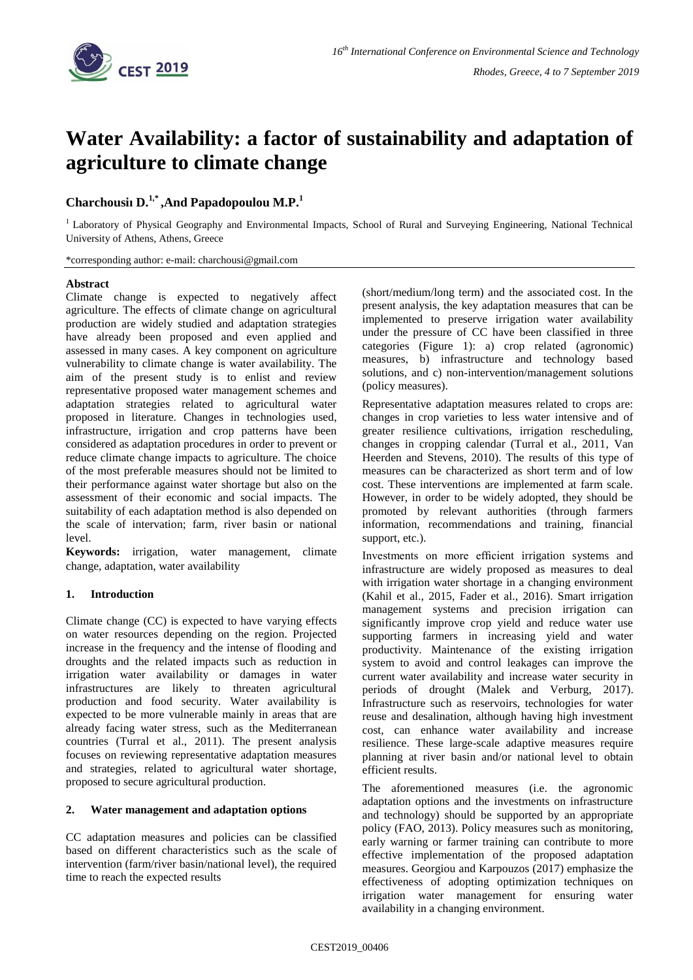

# **Water Availability: a factor of sustainability and adaptation of agriculture to climate change**

## **Charchousiı D.1,\* ,And Papadopoulou M.P.<sup>1</sup>**

<sup>1</sup> Laboratory of Physical Geography and Environmental Impacts, School of Rural and Surveying Engineering, National Technical University of Athens, Athens, Greece

\*corresponding author: e-mail: charchousi@gmail.com

#### **Abstract**

Climate change is expected to negatively affect agriculture. The effects of climate change on agricultural production are widely studied and adaptation strategies have already been proposed and even applied and assessed in many cases. A key component on agriculture vulnerability to climate change is water availability. The aim of the present study is to enlist and review representative proposed water management schemes and adaptation strategies related to agricultural water proposed in literature. Changes in technologies used, infrastructure, irrigation and crop patterns have been considered as adaptation procedures in order to prevent or reduce climate change impacts to agriculture. The choice of the most preferable measures should not be limited to their performance against water shortage but also on the assessment of their economic and social impacts. The suitability of each adaptation method is also depended on the scale of intervation; farm, river basin or national level.

**Keywords:** irrigation, water management, climate change, adaptation, water availability

### **1. Introduction**

Climate change (CC) is expected to have varying effects on water resources depending on the region. Projected increase in the frequency and the intense of flooding and droughts and the related impacts such as reduction in irrigation water availability or damages in water infrastructures are likely to threaten agricultural production and food security. Water availability is expected to be more vulnerable mainly in areas that are already facing water stress, such as the Mediterranean countries (Turral et al., 2011). The present analysis focuses on reviewing representative adaptation measures and strategies, related to agricultural water shortage, proposed to secure agricultural production.

### **2. Water management and adaptation options**

CC adaptation measures and policies can be classified based on different characteristics such as the scale of intervention (farm/river basin/national level), the required time to reach the expected results

(short/medium/long term) and the associated cost. In the present analysis, the key adaptation measures that can be implemented to preserve irrigation water availability under the pressure of CC have been classified in three categories (Figure 1): a) crop related (agronomic) measures, b) infrastructure and technology based solutions, and c) non-intervention/management solutions (policy measures).

Representative adaptation measures related to crops are: changes in crop varieties to less water intensive and of greater resilience cultivations, irrigation rescheduling, changes in cropping calendar (Turral et al., 2011, Van Heerden and Stevens, 2010). The results of this type of measures can be characterized as short term and of low cost. These interventions are implemented at farm scale. However, in order to be widely adopted, they should be promoted by relevant authorities (through farmers information, recommendations and training, financial support, etc.).

Investments on more efficient irrigation systems and infrastructure are widely proposed as measures to deal with irrigation water shortage in a changing environment (Kahil et al., 2015, Fader et al., 2016). Smart irrigation management systems and precision irrigation can significantly improve crop yield and reduce water use supporting farmers in increasing yield and water productivity. Maintenance of the existing irrigation system to avoid and control leakages can improve the current water availability and increase water security in periods of drought (Malek and Verburg, 2017). Infrastructure such as reservoirs, technologies for water reuse and desalination, although having high investment cost, can enhance water availability and increase resilience. These large-scale adaptive measures require planning at river basin and/or national level to obtain efficient results.

The aforementioned measures (i.e. the agronomic adaptation options and the investments on infrastructure and technology) should be supported by an appropriate policy (FAO, 2013). Policy measures such as monitoring, early warning or farmer training can contribute to more effective implementation of the proposed adaptation measures. Georgiou and Karpouzos (2017) emphasize the effectiveness of adopting optimization techniques on irrigation water management for ensuring water availability in a changing environment.